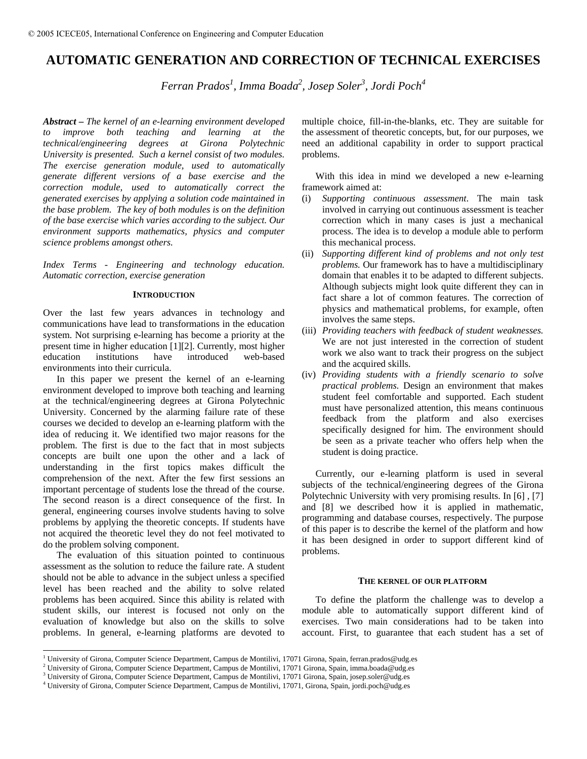# **AUTOMATIC GENERATION AND CORRECTION OF TECHNICAL EXERCISES**

*Ferran Prados<sup>1</sup> , Imma Boada2 , Josep Soler3 , Jordi Poch4*

*Abstract* **–** *The kernel of an e-learning environment developed to improve both teaching and learning at the technical/engineering degrees at Girona Polytechnic University is presented. Such a kernel consist of two modules. The exercise generation module, used to automatically generate different versions of a base exercise and the correction module, used to automatically correct the generated exercises by applying a solution code maintained in the base problem. The key of both modules is on the definition of the base exercise which varies according to the subject. Our environment supports mathematics, physics and computer science problems amongst others.* 

*Index Terms* - *Engineering and technology education. Automatic correction, exercise generation*

# **INTRODUCTION**

Over the last few years advances in technology and communications have lead to transformations in the education system. Not surprising e-learning has become a priority at the present time in higher education [1][2]. Currently, most higher education institutions have introduced web-based environments into their curricula.

In this paper we present the kernel of an e-learning environment developed to improve both teaching and learning at the technical/engineering degrees at Girona Polytechnic University. Concerned by the alarming failure rate of these courses we decided to develop an e-learning platform with the idea of reducing it. We identified two major reasons for the problem. The first is due to the fact that in most subjects concepts are built one upon the other and a lack of understanding in the first topics makes difficult the comprehension of the next. After the few first sessions an important percentage of students lose the thread of the course. The second reason is a direct consequence of the first. In general, engineering courses involve students having to solve problems by applying the theoretic concepts. If students have not acquired the theoretic level they do not feel motivated to do the problem solving component.

The evaluation of this situation pointed to continuous assessment as the solution to reduce the failure rate. A student should not be able to advance in the subject unless a specified level has been reached and the ability to solve related problems has been acquired. Since this ability is related with student skills, our interest is focused not only on the evaluation of knowledge but also on the skills to solve problems. In general, e-learning platforms are devoted to

multiple choice, fill-in-the-blanks, etc. They are suitable for the assessment of theoretic concepts, but, for our purposes, we need an additional capability in order to support practical problems.

With this idea in mind we developed a new e-learning framework aimed at:

- (i) *Supporting continuous assessment*. The main task involved in carrying out continuous assessment is teacher correction which in many cases is just a mechanical process. The idea is to develop a module able to perform this mechanical process.
- (ii) *Supporting different kind of problems and not only test problems.* Our framework has to have a multidisciplinary domain that enables it to be adapted to different subjects. Although subjects might look quite different they can in fact share a lot of common features. The correction of physics and mathematical problems, for example, often involves the same steps.
- (iii) *Providing teachers with feedback of student weaknesses.* We are not just interested in the correction of student work we also want to track their progress on the subject and the acquired skills.
- (iv) *Providing students with a friendly scenario to solve practical problems.* Design an environment that makes student feel comfortable and supported. Each student must have personalized attention, this means continuous feedback from the platform and also exercises specifically designed for him. The environment should be seen as a private teacher who offers help when the student is doing practice.

Currently, our e-learning platform is used in several subjects of the technical/engineering degrees of the Girona Polytechnic University with very promising results. In [6] , [7] and [8] we described how it is applied in mathematic, programming and database courses, respectively. The purpose of this paper is to describe the kernel of the platform and how it has been designed in order to support different kind of problems.

### **THE KERNEL OF OUR PLATFORM**

To define the platform the challenge was to develop a module able to automatically support different kind of exercises. Two main considerations had to be taken into account. First, to guarantee that each student has a set of

<sup>&</sup>lt;sup>1</sup> University of Girona, Computer Science Department, Campus de Montilivi, 17071 Girona, Spain, ferran.prados@udg.es<br><sup>2</sup> University of Girona, Computer Science Department, Campus de Montilivi, 17071 Girona, Spain, imme bo

<sup>&</sup>lt;sup>2</sup> University of Girona, Computer Science Department, Campus de Montilivi, 17071 Girona, Spain, imma.boada@udg.es

<sup>&</sup>lt;sup>3</sup> University of Girona, Computer Science Department, Campus de Montilivi, 17071 Girona, Spain, josep.soler@udg.es

University of Girona, Computer Science Department, Campus de Montilivi, 17071, Girona, Spain, jordi.poch@udg.es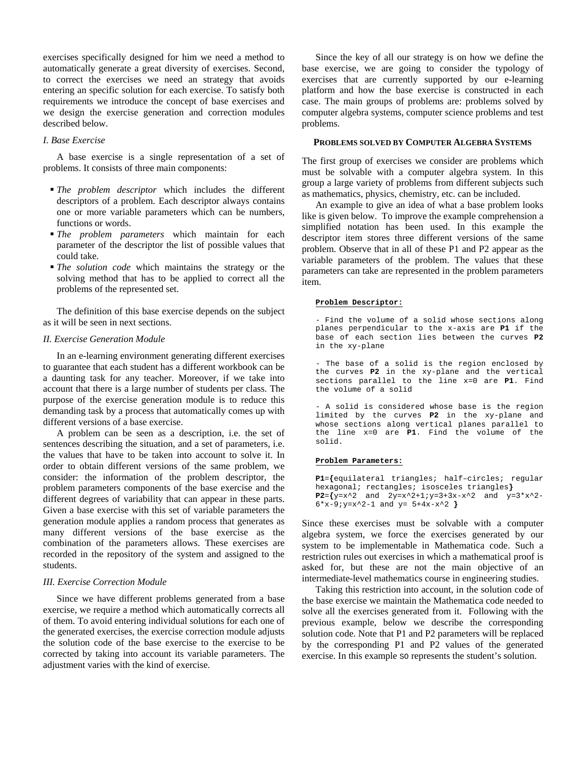exercises specifically designed for him we need a method to automatically generate a great diversity of exercises. Second, to correct the exercises we need an strategy that avoids entering an specific solution for each exercise. To satisfy both requirements we introduce the concept of base exercises and we design the exercise generation and correction modules described below.

# *I. Base Exercise*

A base exercise is a single representation of a set of problems. It consists of three main components:

- *The problem descriptor* which includes the different descriptors of a problem. Each descriptor always contains one or more variable parameters which can be numbers, functions or words.
- *The problem parameters* which maintain for each parameter of the descriptor the list of possible values that could take.
- *The solution code* which maintains the strategy or the solving method that has to be applied to correct all the problems of the represented set.

The definition of this base exercise depends on the subject as it will be seen in next sections.

# *II. Exercise Generation Module*

In an e-learning environment generating different exercises to guarantee that each student has a different workbook can be a daunting task for any teacher. Moreover, if we take into account that there is a large number of students per class. The purpose of the exercise generation module is to reduce this demanding task by a process that automatically comes up with different versions of a base exercise.

A problem can be seen as a description, i.e. the set of sentences describing the situation, and a set of parameters, i.e. the values that have to be taken into account to solve it. In order to obtain different versions of the same problem, we consider: the information of the problem descriptor, the problem parameters components of the base exercise and the different degrees of variability that can appear in these parts. Given a base exercise with this set of variable parameters the generation module applies a random process that generates as many different versions of the base exercise as the combination of the parameters allows. These exercises are recorded in the repository of the system and assigned to the students.

# *III. Exercise Correction Module*

Since we have different problems generated from a base exercise, we require a method which automatically corrects all of them. To avoid entering individual solutions for each one of the generated exercises, the exercise correction module adjusts the solution code of the base exercise to the exercise to be corrected by taking into account its variable parameters. The adjustment varies with the kind of exercise.

Since the key of all our strategy is on how we define the base exercise, we are going to consider the typology of exercises that are currently supported by our e-learning platform and how the base exercise is constructed in each case. The main groups of problems are: problems solved by computer algebra systems, computer science problems and test problems.

# **PROBLEMS SOLVED BY COMPUTER ALGEBRA SYSTEMS**

The first group of exercises we consider are problems which must be solvable with a computer algebra system. In this group a large variety of problems from different subjects such as mathematics, physics, chemistry, etc. can be included.

An example to give an idea of what a base problem looks like is given below. To improve the example comprehension a simplified notation has been used. In this example the descriptor item stores three different versions of the same problem. Observe that in all of these P1 and P2 appear as the variable parameters of the problem. The values that these parameters can take are represented in the problem parameters item.

### **Problem Descriptor:**

- Find the volume of a solid whose sections along planes perpendicular to the x-axis are **P1** if the base of each section lies between the curves **P2** in the xy-plane

- The base of a solid is the region enclosed by the curves **P2** in the xy-plane and the vertical sections parallel to the line x=0 are **P1**. Find the volume of a solid

- A solid is considered whose base is the region limited by the curves **P2** in the xy-plane and whose sections along vertical planes parallel to the line x=0 are **P1**. Find the volume of the solid.

#### **Problem Parameters:**

**P1**=**{**equilateral triangles; half–circles; regular hexagonal; rectangles; isosceles triangles**} P2**=**{**y=x^2 and 2y=x^2+1;y=3+3x-x^2 and y=3\*x^2- 6\*x-9;y=x^2-1 and y= 5+4x-x^2 **}** 

Since these exercises must be solvable with a computer algebra system, we force the exercises generated by our system to be implementable in Mathematica code. Such a restriction rules out exercises in which a mathematical proof is asked for, but these are not the main objective of an intermediate-level mathematics course in engineering studies.

Taking this restriction into account, in the solution code of the base exercise we maintain the Mathematica code needed to solve all the exercises generated from it. Following with the previous example, below we describe the corresponding solution code. Note that P1 and P2 parameters will be replaced by the corresponding P1 and P2 values of the generated exercise. In this example so represents the student's solution.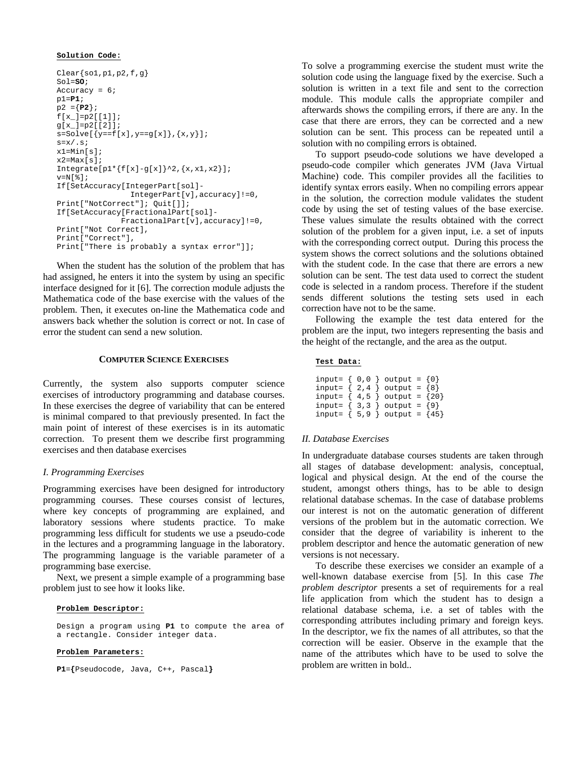# **Solution Code:**

```
Clear\{sol,p1,p2,f,g\}Sol=SO; 
Accuracy = 6; 
p1=P1; 
p2 ={P2}; 
f[x_{-}] = p2[[1]];
g[x_]=p2[[2]]; 
s = Solve[ {y == f[x], y == g[x]}, {x, y}];
s=x/.s;
x1=Min[s]; 
x2 = Max[s];
Integrate[p1*{f[x]-g[x]}^2,{x,x1,x2}];
v=N[ * ]:If[SetAccuracy[IntegerPart[sol]- 
                  IntegerPart[v],accuracy]!=0, 
Print["NotCorrect"]; Quit[]]; 
If[SetAccuracy[FractionalPart[sol]- 
               FractionalPart[v],accuracy]!=0, 
Print["Not Correct], 
Print["Correct"], 
Print["There is probably a syntax error"]];
```
When the student has the solution of the problem that has had assigned, he enters it into the system by using an specific interface designed for it [6]. The correction module adjusts the Mathematica code of the base exercise with the values of the problem. Then, it executes on-line the Mathematica code and answers back whether the solution is correct or not. In case of error the student can send a new solution.

# **COMPUTER SCIENCE EXERCISES**

Currently, the system also supports computer science exercises of introductory programming and database courses. In these exercises the degree of variability that can be entered is minimal compared to that previously presented. In fact the main point of interest of these exercises is in its automatic correction. To present them we describe first programming exercises and then database exercises

# *I. Programming Exercises*

Programming exercises have been designed for introductory programming courses. These courses consist of lectures, where key concepts of programming are explained, and laboratory sessions where students practice. To make programming less difficult for students we use a pseudo-code in the lectures and a programming language in the laboratory. The programming language is the variable parameter of a programming base exercise.

Next, we present a simple example of a programming base problem just to see how it looks like.

#### **Problem Descriptor:**

Design a program using **P1** to compute the area of a rectangle. Consider integer data.

### **Problem Parameters:**

**P1**=**{**Pseudocode, Java, C++, Pascal**}** 

To solve a programming exercise the student must write the solution code using the language fixed by the exercise. Such a solution is written in a text file and sent to the correction module. This module calls the appropriate compiler and afterwards shows the compiling errors, if there are any. In the case that there are errors, they can be corrected and a new solution can be sent. This process can be repeated until a solution with no compiling errors is obtained.

To support pseudo-code solutions we have developed a pseudo-code compiler which generates JVM (Java Virtual Machine) code. This compiler provides all the facilities to identify syntax errors easily. When no compiling errors appear in the solution, the correction module validates the student code by using the set of testing values of the base exercise. These values simulate the results obtained with the correct solution of the problem for a given input, i.e. a set of inputs with the corresponding correct output. During this process the system shows the correct solutions and the solutions obtained with the student code. In the case that there are errors a new solution can be sent. The test data used to correct the student code is selected in a random process. Therefore if the student sends different solutions the testing sets used in each correction have not to be the same.

Following the example the test data entered for the problem are the input, two integers representing the basis and the height of the rectangle, and the area as the output.

# **Test Data:**

|                 |  | input= { $0,0$ } output = {0}        |  |
|-----------------|--|--------------------------------------|--|
|                 |  | input= $\{ 2, 4 \}$ output = $\{8\}$ |  |
|                 |  | input= $\{4,5\}$ output = $\{20\}$   |  |
|                 |  | input= $\{3,3\}$ output = $\{9\}$    |  |
| input= $\{5, 9$ |  | $\}$ output = $\{45\}$               |  |

### *II. Database Exercises*

In undergraduate database courses students are taken through all stages of database development: analysis, conceptual, logical and physical design. At the end of the course the student, amongst others things, has to be able to design relational database schemas. In the case of database problems our interest is not on the automatic generation of different versions of the problem but in the automatic correction. We consider that the degree of variability is inherent to the problem descriptor and hence the automatic generation of new versions is not necessary.

To describe these exercises we consider an example of a well-known database exercise from [5]. In this case *The problem descriptor* presents a set of requirements for a real life application from which the student has to design a relational database schema, i.e. a set of tables with the corresponding attributes including primary and foreign keys. In the descriptor, we fix the names of all attributes, so that the correction will be easier. Observe in the example that the name of the attributes which have to be used to solve the problem are written in bold..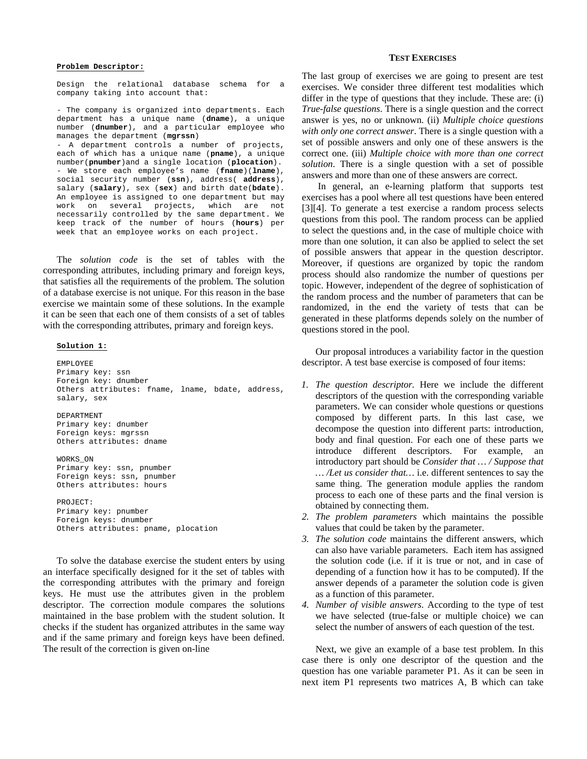### **Problem Descriptor:**

Design the relational database schema for a company taking into account that:

- The company is organized into departments. Each department has a unique name (**dname**), a unique number (**dnumber**), and a particular employee who manages the department (**mgrssn**) - A department controls a number of projects, each of which has a unique name (**pname**), a unique number(**pnumber**)and a single location (**plocation**). - We store each employee's name (**fname**)(**lname**), social security number (**ssn**), address( **address**), salary (**salary**), sex (**sex**) and birth date(**bdate**). An employee is assigned to one department but may work on several projects, which are not necessarily controlled by the same department. We keep track of the number of hours (**hours**) per week that an employee works on each project.

The *solution code* is the set of tables with the corresponding attributes, including primary and foreign keys, that satisfies all the requirements of the problem. The solution of a database exercise is not unique. For this reason in the base exercise we maintain some of these solutions. In the example it can be seen that each one of them consists of a set of tables with the corresponding attributes, primary and foreign keys.

### **Solution 1:**

EMPLOYEE Primary key: ssn Foreign key: dnumber Others attributes: fname, lname, bdate, address, salary, sex

#### DEPARTMENT Primary key: dnumber

Foreign keys: mgrssn Others attributes: dname

WORKS\_ON Primary key: ssn, pnumber Foreign keys: ssn, pnumber Others attributes: hours

PROJECT: Primary key: pnumber Foreign keys: dnumber Others attributes: pname, plocation

To solve the database exercise the student enters by using an interface specifically designed for it the set of tables with the corresponding attributes with the primary and foreign keys. He must use the attributes given in the problem descriptor. The correction module compares the solutions maintained in the base problem with the student solution. It checks if the student has organized attributes in the same way and if the same primary and foreign keys have been defined. The result of the correction is given on-line

### **TEST EXERCISES**

The last group of exercises we are going to present are test exercises. We consider three different test modalities which differ in the type of questions that they include. These are: (i) *True-false questions*. There is a single question and the correct answer is yes, no or unknown. (ii) *Multiple choice questions with only one correct answer*. There is a single question with a set of possible answers and only one of these answers is the correct one. (iii) *Multiple choice with more than one correct solution*. There is a single question with a set of possible answers and more than one of these answers are correct.

 In general, an e-learning platform that supports test exercises has a pool where all test questions have been entered [3][4]. To generate a test exercise a random process selects questions from this pool. The random process can be applied to select the questions and, in the case of multiple choice with more than one solution, it can also be applied to select the set of possible answers that appear in the question descriptor. Moreover, if questions are organized by topic the random process should also randomize the number of questions per topic. However, independent of the degree of sophistication of the random process and the number of parameters that can be randomized, in the end the variety of tests that can be generated in these platforms depends solely on the number of questions stored in the pool.

Our proposal introduces a variability factor in the question descriptor. A test base exercise is composed of four items:

- *1. The question descriptor.* Here we include the different descriptors of the question with the corresponding variable parameters. We can consider whole questions or questions composed by different parts. In this last case, we decompose the question into different parts: introduction, body and final question. For each one of these parts we introduce different descriptors. For example, an introductory part should be *Consider that … / Suppose that … /Let us consider that…* i.e. different sentences to say the same thing. The generation module applies the random process to each one of these parts and the final version is obtained by connecting them.
- *2. The problem parameters* which maintains the possible values that could be taken by the parameter.
- *3. The solution code* maintains the different answers, which can also have variable parameters. Each item has assigned the solution code (i.e. if it is true or not, and in case of depending of a function how it has to be computed). If the answer depends of a parameter the solution code is given as a function of this parameter.
- *4. Number of visible answers*. According to the type of test we have selected (true-false or multiple choice) we can select the number of answers of each question of the test.

Next, we give an example of a base test problem. In this case there is only one descriptor of the question and the question has one variable parameter P1. As it can be seen in next item P1 represents two matrices A, B which can take